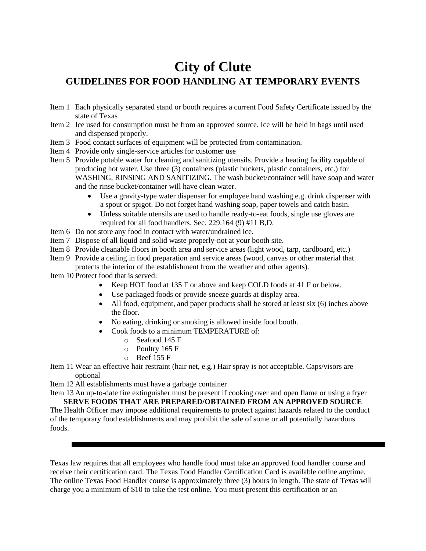## **City of Clute GUIDELINES FOR FOOD HANDLING AT TEMPORARY EVENTS**

- Item 1 Each physically separated stand or booth requires a current Food Safety Certificate issued by the state of Texas
- Item 2 Ice used for consumption must be from an approved source. Ice will be held in bags until used and dispensed properly.
- Item 3 Food contact surfaces of equipment will be protected from contamination.
- Item 4 Provide only single-service articles for customer use
- Item 5 Provide potable water for cleaning and sanitizing utensils. Provide a heating facility capable of producing hot water. Use three (3) containers (plastic buckets, plastic containers, etc.) for WASHING, RINSING AND SANITIZING. The wash bucket/container will have soap and water and the rinse bucket/container will have clean water.
	- Use a gravity-type water dispenser for employee hand washing e.g. drink dispenser with a spout or spigot. Do not forget hand washing soap, paper towels and catch basin.
	- Unless suitable utensils are used to handle ready-to-eat foods, single use gloves are required for all food handlers. Sec. 229.164 (9) #11 B,D.
- Item 6 Do not store any food in contact with water/undrained ice.
- Item 7 Dispose of all liquid and solid waste properly-not at your booth site.
- Item 8 Provide cleanable floors in booth area and service areas (light wood, tarp, cardboard, etc.)
- Item 9 Provide a ceiling in food preparation and service areas (wood, canvas or other material that protects the interior of the establishment from the weather and other agents).

Item 10 Protect food that is served:

- Keep HOT food at 135 F or above and keep COLD foods at 41 F or below.
- Use packaged foods or provide sneeze guards at display area.
- All food, equipment, and paper products shall be stored at least six (6) inches above the floor.
- No eating, drinking or smoking is allowed inside food booth.
- Cook foods to a minimum TEMPERATURE of:
	- o Seafood 145 F
	- o Poultry 165 F
	- o Beef 155 F
- Item 11 Wear an effective hair restraint (hair net, e.g.) Hair spray is not acceptable. Caps/visors are optional

Item 12 All establishments must have a garbage container

Item 13 An up-to-date fire extinguisher must be present if cooking over and open flame or using a fryer **SERVE FOODS THAT ARE PREPARED/OBTAINED FROM AN APPROVED SOURCE**

The Health Officer may impose additional requirements to protect against hazards related to the conduct of the temporary food establishments and may prohibit the sale of some or all potentially hazardous foods.

Texas law requires that all employees who handle food must take an approved food handler course and receive their certification card. The Texas Food Handler Certification Card is available online anytime. The online Texas Food Handler course is approximately three (3) hours in length. The state of Texas will charge you a minimum of \$10 to take the test online. You must present this certification or an